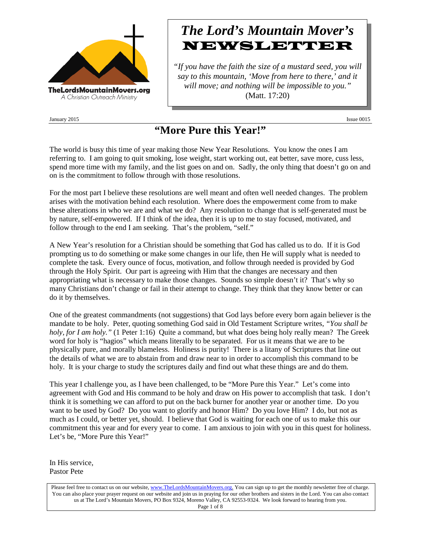

January 2015 Issue 0015

# *The Lord's Mountain Mover's* NEWSLETTER

*"If you have the faith the size of a mustard seed, you will say to this mountain, 'Move from here to there,' and it will move; and nothing will be impossible to you."* (Matt. 17:20)

**"More Pure this Year!"**

The world is busy this time of year making those New Year Resolutions. You know the ones I am referring to. I am going to quit smoking, lose weight, start working out, eat better, save more, cuss less, spend more time with my family, and the list goes on and on. Sadly, the only thing that doesn't go on and on is the commitment to follow through with those resolutions.

For the most part I believe these resolutions are well meant and often well needed changes. The problem arises with the motivation behind each resolution. Where does the empowerment come from to make these alterations in who we are and what we do? Any resolution to change that is self-generated must be by nature, self-empowered. If I think of the idea, then it is up to me to stay focused, motivated, and follow through to the end I am seeking. That's the problem, "self."

A New Year's resolution for a Christian should be something that God has called us to do. If it is God prompting us to do something or make some changes in our life, then He will supply what is needed to complete the task. Every ounce of focus, motivation, and follow through needed is provided by God through the Holy Spirit. Our part is agreeing with Him that the changes are necessary and then appropriating what is necessary to make those changes. Sounds so simple doesn't it? That's why so many Christians don't change or fail in their attempt to change. They think that they know better or can do it by themselves.

One of the greatest commandments (not suggestions) that God lays before every born again believer is the mandate to be holy. Peter, quoting something God said in Old Testament Scripture writes, *"You shall be holy, for I am holy."* (1 Peter 1:16) Quite a command, but what does being holy really mean? The Greek word for holy is "hagios" which means literally to be separated. For us it means that we are to be physically pure, and morally blameless. Holiness is purity! There is a litany of Scriptures that line out the details of what we are to abstain from and draw near to in order to accomplish this command to be holy. It is your charge to study the scriptures daily and find out what these things are and do them.

This year I challenge you, as I have been challenged, to be "More Pure this Year." Let's come into agreement with God and His command to be holy and draw on His power to accomplish that task. I don't think it is something we can afford to put on the back burner for another year or another time. Do you want to be used by God? Do you want to glorify and honor Him? Do you love Him? I do, but not as much as I could, or better yet, should. I believe that God is waiting for each one of us to make this our commitment this year and for every year to come. I am anxious to join with you in this quest for holiness. Let's be, "More Pure this Year!"

In His service, Pastor Pete

Please feel free to contact us on our website, ww[w.TheLordsMountainMovers.o](http://www.thelordsmountainmovers.org/)rg. You can sign up to get the monthly newsletter free of charge. You can also place your prayer request on our website and join us in praying for our other brothers and sisters in the Lord. You can also contact us at The Lord's Mountain Movers, PO Box 9324, Moreno Valley, CA 92553-9324. We look forward to hearing from you. Page 1 of 8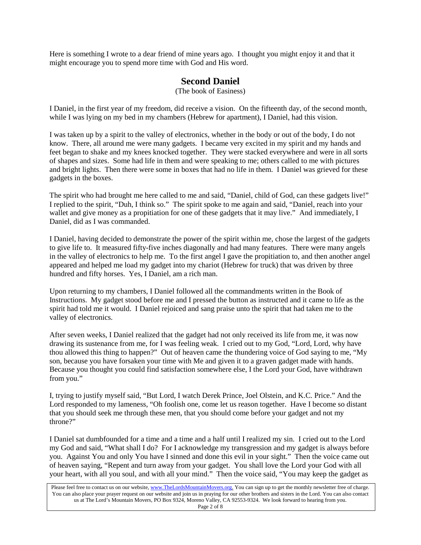Here is something I wrote to a dear friend of mine years ago. I thought you might enjoy it and that it might encourage you to spend more time with God and His word.

## **Second Daniel**

(The book of Easiness)

I Daniel, in the first year of my freedom, did receive a vision. On the fifteenth day, of the second month, while I was lying on my bed in my chambers (Hebrew for apartment), I Daniel, had this vision.

I was taken up by a spirit to the valley of electronics, whether in the body or out of the body, I do not know. There, all around me were many gadgets. I became very excited in my spirit and my hands and feet began to shake and my knees knocked together. They were stacked everywhere and were in all sorts of shapes and sizes. Some had life in them and were speaking to me; others called to me with pictures and bright lights. Then there were some in boxes that had no life in them. I Daniel was grieved for these gadgets in the boxes.

The spirit who had brought me here called to me and said, "Daniel, child of God, can these gadgets live!" I replied to the spirit, "Duh, I think so." The spirit spoke to me again and said, "Daniel, reach into your wallet and give money as a propitiation for one of these gadgets that it may live." And immediately, I Daniel, did as I was commanded.

I Daniel, having decided to demonstrate the power of the spirit within me, chose the largest of the gadgets to give life to. It measured fifty-five inches diagonally and had many features. There were many angels in the valley of electronics to help me. To the first angel I gave the propitiation to, and then another angel appeared and helped me load my gadget into my chariot (Hebrew for truck) that was driven by three hundred and fifty horses. Yes, I Daniel, am a rich man.

Upon returning to my chambers, I Daniel followed all the commandments written in the Book of Instructions. My gadget stood before me and I pressed the button as instructed and it came to life as the spirit had told me it would. I Daniel rejoiced and sang praise unto the spirit that had taken me to the valley of electronics.

After seven weeks, I Daniel realized that the gadget had not only received its life from me, it was now drawing its sustenance from me, for I was feeling weak. I cried out to my God, "Lord, Lord, why have thou allowed this thing to happen?" Out of heaven came the thundering voice of God saying to me, "My son, because you have forsaken your time with Me and given it to a graven gadget made with hands. Because you thought you could find satisfaction somewhere else, I the Lord your God, have withdrawn from you."

I, trying to justify myself said, "But Lord, I watch Derek Prince, Joel Olstein, and K.C. Price." And the Lord responded to my lameness, "Oh foolish one, come let us reason together. Have I become so distant that you should seek me through these men, that you should come before your gadget and not my throne?"

I Daniel sat dumbfounded for a time and a time and a half until I realized my sin. I cried out to the Lord my God and said, "What shall I do? For I acknowledge my transgression and my gadget is always before you. Against You and only You have I sinned and done this evil in your sight." Then the voice came out of heaven saying, "Repent and turn away from your gadget. You shall love the Lord your God with all your heart, with all you soul, and with all your mind." Then the voice said, "You may keep the gadget as

Please feel free to contact us on our website, ww[w.TheLordsMountainMovers.o](http://www.thelordsmountainmovers.org/)rg. You can sign up to get the monthly newsletter free of charge. You can also place your prayer request on our website and join us in praying for our other brothers and sisters in the Lord. You can also contact us at The Lord's Mountain Movers, PO Box 9324, Moreno Valley, CA 92553-9324. We look forward to hearing from you. Page 2 of 8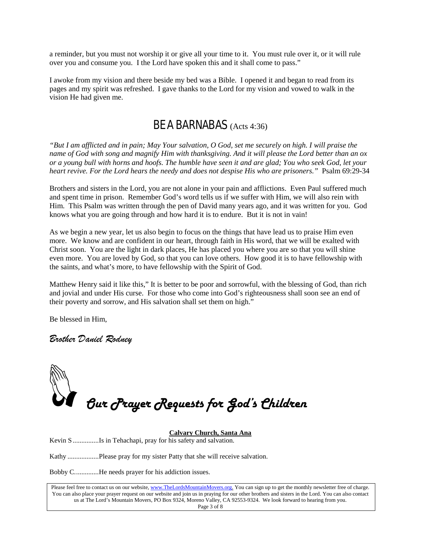a reminder, but you must not worship it or give all your time to it. You must rule over it, or it will rule over you and consume you. I the Lord have spoken this and it shall come to pass."

I awoke from my vision and there beside my bed was a Bible. I opened it and began to read from its pages and my spirit was refreshed. I gave thanks to the Lord for my vision and vowed to walk in the vision He had given me.

## BE A BARNABAS (Acts 4:36)

*"But I am afflicted and in pain; May Your salvation, O God, set me securely on high. I will praise the name of God with song and magnify Him with thanksgiving. And it will please the Lord better than an ox or a young bull with horns and hoofs. The humble have seen it and are glad; You who seek God, let your heart revive. For the Lord hears the needy and does not despise His who are prisoners."* Psalm 69:29-34

Brothers and sisters in the Lord, you are not alone in your pain and afflictions. Even Paul suffered much and spent time in prison. Remember God's word tells us if we suffer with Him, we will also rein with Him. This Psalm was written through the pen of David many years ago, and it was written for you. God knows what you are going through and how hard it is to endure. But it is not in vain!

As we begin a new year, let us also begin to focus on the things that have lead us to praise Him even more. We know and are confident in our heart, through faith in His word, that we will be exalted with Christ soon. You are the light in dark places, He has placed you where you are so that you will shine even more. You are loved by God, so that you can love others. How good it is to have fellowship with the saints, and what's more, to have fellowship with the Spirit of God.

Matthew Henry said it like this," It is better to be poor and sorrowful, with the blessing of God, than rich and jovial and under His curse. For those who come into God's righteousness shall soon see an end of their poverty and sorrow, and His salvation shall set them on high."

Be blessed in Him,

*Brother Daniel Rodney*



**Calvary Church, Santa Ana**

Kevin S ...............Is in Tehachapi, pray for his safety and salvation.

Kathy ..................Please pray for my sister Patty that she will receive salvation.

Bobby C..............He needs prayer for his addiction issues.

Please feel free to contact us on our website, ww[w.TheLordsMountainMovers.o](http://www.thelordsmountainmovers.org/)rg. You can sign up to get the monthly newsletter free of charge. You can also place your prayer request on our website and join us in praying for our other brothers and sisters in the Lord. You can also contact us at The Lord's Mountain Movers, PO Box 9324, Moreno Valley, CA 92553-9324. We look forward to hearing from you. Page 3 of 8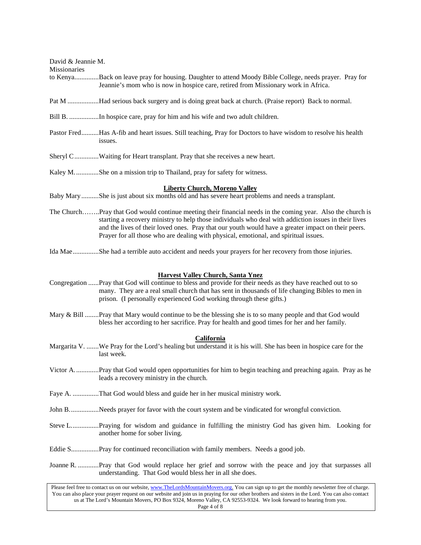| David & Jeannie M.<br>Missionaries |                                                                                                                                                                                                                                                                                                                                                                                                                        |
|------------------------------------|------------------------------------------------------------------------------------------------------------------------------------------------------------------------------------------------------------------------------------------------------------------------------------------------------------------------------------------------------------------------------------------------------------------------|
|                                    | to KenyaBack on leave pray for housing. Daughter to attend Moody Bible College, needs prayer. Pray for<br>Jeannie's mom who is now in hospice care, retired from Missionary work in Africa.                                                                                                                                                                                                                            |
|                                    | Pat M Had serious back surgery and is doing great back at church. (Praise report) Back to normal.                                                                                                                                                                                                                                                                                                                      |
|                                    | Bill B. In hospice care, pray for him and his wife and two adult children.                                                                                                                                                                                                                                                                                                                                             |
|                                    | Pastor FredHas A-fib and heart issues. Still teaching, Pray for Doctors to have wisdom to resolve his health<br>issues.                                                                                                                                                                                                                                                                                                |
|                                    | Sheryl CWaiting for Heart transplant. Pray that she receives a new heart.                                                                                                                                                                                                                                                                                                                                              |
|                                    | Kaley M. She on a mission trip to Thailand, pray for safety for witness.                                                                                                                                                                                                                                                                                                                                               |
|                                    | <b>Liberty Church, Moreno Valley</b><br>Baby Mary She is just about six months old and has severe heart problems and needs a transplant.                                                                                                                                                                                                                                                                               |
|                                    | The ChurchPray that God would continue meeting their financial needs in the coming year. Also the church is<br>starting a recovery ministry to help those individuals who deal with addiction issues in their lives<br>and the lives of their loved ones. Pray that our youth would have a greater impact on their peers.<br>Prayer for all those who are dealing with physical, emotional, and spiritual issues.      |
|                                    | Ida Mae She had a terrible auto accident and needs your prayers for her recovery from those injuries.                                                                                                                                                                                                                                                                                                                  |
|                                    | <b>Harvest Valley Church, Santa Ynez</b><br>Congregation Pray that God will continue to bless and provide for their needs as they have reached out to so<br>many. They are a real small church that has sent in thousands of life changing Bibles to men in<br>prison. (I personally experienced God working through these gifts.)                                                                                     |
|                                    | Mary & Bill Pray that Mary would continue to be the blessing she is to so many people and that God would<br>bless her according to her sacrifice. Pray for health and good times for her and her family.                                                                                                                                                                                                               |
|                                    | <b>California</b><br>Margarita V. We Pray for the Lord's healing but understand it is his will. She has been in hospice care for the<br>last week.                                                                                                                                                                                                                                                                     |
|                                    | Victor APray that God would open opportunities for him to begin teaching and preaching again. Pray as he<br>leads a recovery ministry in the church.                                                                                                                                                                                                                                                                   |
|                                    | Faye A. That God would bless and guide her in her musical ministry work.                                                                                                                                                                                                                                                                                                                                               |
|                                    | John BNeeds prayer for favor with the court system and be vindicated for wrongful conviction.                                                                                                                                                                                                                                                                                                                          |
|                                    | Steve LPraying for wisdom and guidance in fulfilling the ministry God has given him. Looking for<br>another home for sober living.                                                                                                                                                                                                                                                                                     |
|                                    |                                                                                                                                                                                                                                                                                                                                                                                                                        |
|                                    | Joanne R. Pray that God would replace her grief and sorrow with the peace and joy that surpasses all<br>understanding. That God would bless her in all she does.                                                                                                                                                                                                                                                       |
|                                    | Please feel free to contact us on our website, www.TheLordsMountainMovers.org. You can sign up to get the monthly newsletter free of charge.<br>You can also place your prayer request on our website and join us in praying for our other brothers and sisters in the Lord. You can also contact<br>us at The Lord's Mountain Movers, PO Box 9324, Moreno Valley, CA 92553-9324. We look forward to hearing from you. |

Page 4 of 8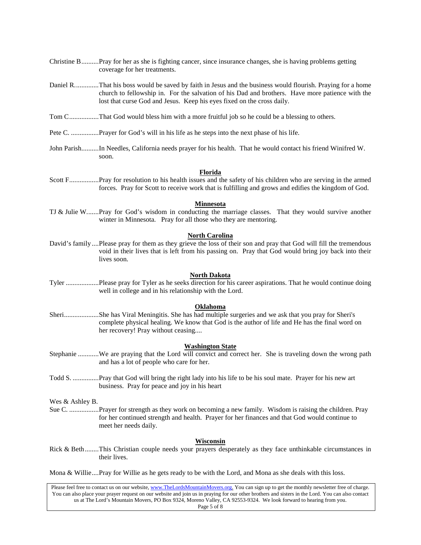- Christine B..........Pray for her as she is fighting cancer, since insurance changes, she is having problems getting coverage for her treatments.
- Daniel R..............That his boss would be saved by faith in Jesus and the business would flourish. Praying for a home church to fellowship in. For the salvation of his Dad and brothers. Have more patience with the lost that curse God and Jesus. Keep his eyes fixed on the cross daily.
- Tom C.................That God would bless him with a more fruitful job so he could be a blessing to others.
- Pete C. ................Prayer for God's will in his life as he steps into the next phase of his life.
- John Parish..........In Needles, California needs prayer for his health. That he would contact his friend Winifred W. soon.

#### **Florida**

Scott F.................Pray for resolution to his health issues and the safety of his children who are serving in the armed forces. Pray for Scott to receive work that is fulfilling and grows and edifies the kingdom of God.

#### **Minnesota**

TJ & Julie W.......Pray for God's wisdom in conducting the marriage classes. That they would survive another winter in Minnesota. Pray for all those who they are mentoring.

#### **North Carolina**

David's family ....Please pray for them as they grieve the loss of their son and pray that God will fill the tremendous void in their lives that is left from his passing on. Pray that God would bring joy back into their lives soon.

#### **North Dakota**

Tyler ...................Please pray for Tyler as he seeks direction for his career aspirations. That he would continue doing well in college and in his relationship with the Lord.

#### **Oklahoma**

Sheri....................She has Viral Meningitis. She has had multiple surgeries and we ask that you pray for Sheri's complete physical healing. We know that God is the author of life and He has the final word on her recovery! Pray without ceasing....

#### **Washington State**

- Stephanie ............We are praying that the Lord will convict and correct her. She is traveling down the wrong path and has a lot of people who care for her.
- Todd S. ...............Pray that God will bring the right lady into his life to be his soul mate. Prayer for his new art business. Pray for peace and joy in his heart

Wes & Ashley B.

Sue C. .................Prayer for strength as they work on becoming a new family. Wisdom is raising the children. Pray for her continued strength and health. Prayer for her finances and that God would continue to meet her needs daily.

#### **Wisconsin**

Rick & Beth........This Christian couple needs your prayers desperately as they face unthinkable circumstances in their lives.

Mona & Willie....Pray for Willie as he gets ready to be with the Lord, and Mona as she deals with this loss.

Please feel free to contact us on our website, ww[w.TheLordsMountainMovers.o](http://www.thelordsmountainmovers.org/)rg. You can sign up to get the monthly newsletter free of charge. You can also place your prayer request on our website and join us in praying for our other brothers and sisters in the Lord. You can also contact us at The Lord's Mountain Movers, PO Box 9324, Moreno Valley, CA 92553-9324. We look forward to hearing from you.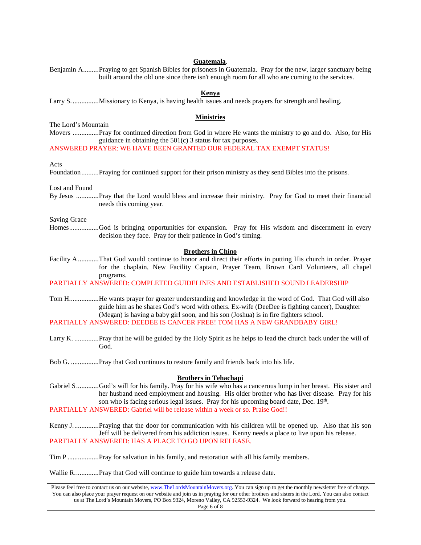#### **Guatemala**.

| Benjamin APraying to get Spanish Bibles for prisoners in Guatemala. Pray for the new, larger sanctuary being<br>built around the old one since there isn't enough room for all who are coming to the services. |  |
|----------------------------------------------------------------------------------------------------------------------------------------------------------------------------------------------------------------|--|
| Kenya                                                                                                                                                                                                          |  |
| <b>Ministries</b>                                                                                                                                                                                              |  |
| The Lord's Mountain                                                                                                                                                                                            |  |
| Movers Pray for continued direction from God in where He wants the ministry to go and do. Also, for His<br>guidance in obtaining the $501(c)$ 3 status for tax purposes.                                       |  |
| ANSWERED PRAYER: WE HAVE BEEN GRANTED OUR FEDERAL TAX EXEMPT STATUS!                                                                                                                                           |  |
| Acts                                                                                                                                                                                                           |  |
| FoundationPraying for continued support for their prison ministry as they send Bibles into the prisons.                                                                                                        |  |
| Lost and Found                                                                                                                                                                                                 |  |
| By Jesus Pray that the Lord would bless and increase their ministry. Pray for God to meet their financial<br>needs this coming year.                                                                           |  |
| <b>Saving Grace</b>                                                                                                                                                                                            |  |
| HomesGod is bringing opportunities for expansion. Pray for His wisdom and discernment in every<br>decision they face. Pray for their patience in God's timing.                                                 |  |
| <b>Brothers in Chino</b>                                                                                                                                                                                       |  |
| Facility A That God would continue to honor and direct their efforts in putting His church in order. Prayer<br>for the chaplain, New Facility Captain, Prayer Team, Brown Card Volunteers, all chapel          |  |
| programs.                                                                                                                                                                                                      |  |
| PARTIALLY ANSWERED: COMPLETED GUIDELINES AND ESTABLISHED SOUND LEADERSHIP                                                                                                                                      |  |

- Tom H.................He wants prayer for greater understanding and knowledge in the word of God. That God will also guide him as he shares God's word with others. Ex-wife (DeeDee is fighting cancer), Daughter (Megan) is having a baby girl soon, and his son (Joshua) is in fire fighters school. PARTIALLY ANSWERED: DEEDEE IS CANCER FREE! TOM HAS A NEW GRANDBABY GIRL!
- Larry K. ..............Pray that he will be guided by the Holy Spirit as he helps to lead the church back under the will of God.

Bob G. ................Pray that God continues to restore family and friends back into his life.

### **Brothers in Tehachapi**

Gabriel S.............God's will for his family. Pray for his wife who has a cancerous lump in her breast. His sister and her husband need employment and housing. His older brother who has liver disease. Pray for his son who is facing serious legal issues. Pray for his upcoming board date, Dec. 19<sup>th</sup>. PARTIALLY ANSWERED: Gabriel will be release within a week or so. Praise God!!

Kenny J...............Praying that the door for communication with his children will be opened up. Also that his son Jeff will be delivered from his addiction issues. Kenny needs a place to live upon his release. PARTIALLY ANSWERED: HAS A PLACE TO GO UPON RELEASE.

Tim P ..................Pray for salvation in his family, and restoration with all his family members.

Wallie R..............Pray that God will continue to guide him towards a release date.

Please feel free to contact us on our website, ww[w.TheLordsMountainMovers.o](http://www.thelordsmountainmovers.org/)rg. You can sign up to get the monthly newsletter free of charge. You can also place your prayer request on our website and join us in praying for our other brothers and sisters in the Lord. You can also contact us at The Lord's Mountain Movers, PO Box 9324, Moreno Valley, CA 92553-9324. We look forward to hearing from you. Page 6 of 8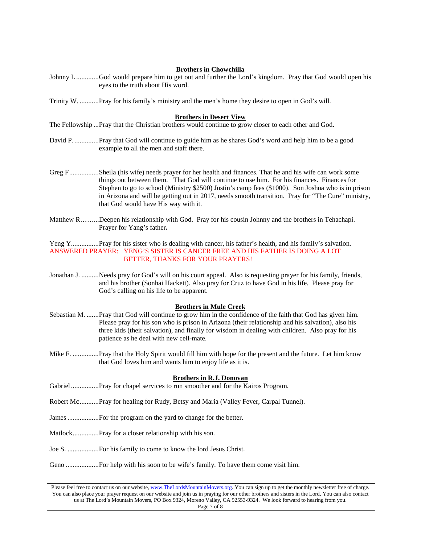#### **Brothers in Chowchilla**

- Johnny L.............God would prepare him to get out and further the Lord's kingdom. Pray that God would open his eyes to the truth about His word.
- Trinity W. ...........Pray for his family's ministry and the men's home they desire to open in God's will.

#### **Brothers in Desert View**

The Fellowship ...Pray that the Christian brothers would continue to grow closer to each other and God.

- David P. ..............Pray that God will continue to guide him as he shares God's word and help him to be a good example to all the men and staff there.
- Greg F.................Sheila (his wife) needs prayer for her health and finances. That he and his wife can work some things out between them. That God will continue to use him. For his finances. Finances for Stephen to go to school (Ministry \$2500) Justin's camp fees (\$1000). Son Joshua who is in prison in Arizona and will be getting out in 2017, needs smooth transition. Pray for "The Cure" ministry, that God would have His way with it.
- Matthew R……...Deepen his relationship with God. Pray for his cousin Johnny and the brothers in Tehachapi. Prayer for Yang's father**.**

Yeng Y................Pray for his sister who is dealing with cancer, his father's health, and his family's salvation. ANSWERED PRAYER: YENG'S SISTER IS CANCER FREE AND HIS FATHER IS DOING A LOT BETTER, THANKS FOR YOUR PRAYERS!

Jonathan J. ..........Needs pray for God's will on his court appeal. Also is requesting prayer for his family, friends, and his brother (Sonhai Hackett). Also pray for Cruz to have God in his life. Please pray for God's calling on his life to be apparent.

#### **Brothers in Mule Creek**

- Sebastian M. .......Pray that God will continue to grow him in the confidence of the faith that God has given him. Please pray for his son who is prison in Arizona (their relationship and his salvation), also his three kids (their salvation), and finally for wisdom in dealing with children. Also pray for his patience as he deal with new cell-mate.
- Mike F. ...............Pray that the Holy Spirit would fill him with hope for the present and the future. Let him know that God loves him and wants him to enjoy life as it is.

#### **Brothers in R.J. Donovan**

- Gabriel................Pray for chapel services to run smoother and for the Kairos Program.
- Robert Mc...........Pray for healing for Rudy, Betsy and Maria (Valley Fever, Carpal Tunnel).
- James..................For the program on the yard to change for the better.
- Matlock...............Pray for a closer relationship with his son.
- Joe S. ..................For his family to come to know the lord Jesus Christ.
- Geno ...................For help with his soon to be wife's family. To have them come visit him.

Please feel free to contact us on our website, ww[w.TheLordsMountainMovers.o](http://www.thelordsmountainmovers.org/)rg. You can sign up to get the monthly newsletter free of charge. You can also place your prayer request on our website and join us in praying for our other brothers and sisters in the Lord. You can also contact us at The Lord's Mountain Movers, PO Box 9324, Moreno Valley, CA 92553-9324. We look forward to hearing from you. Page 7 of 8